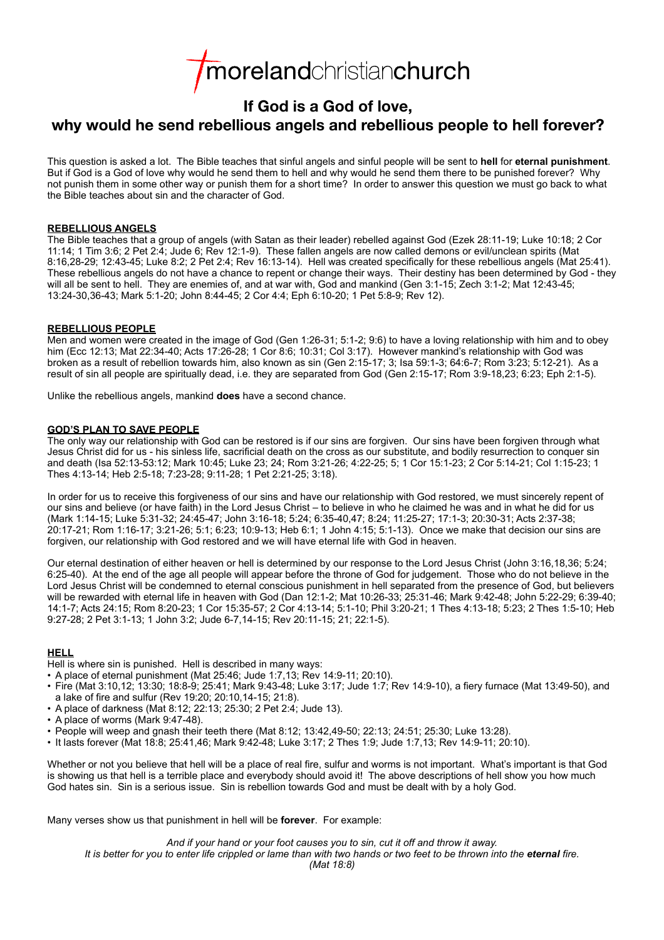# morelandchristianchurch

# **If God is a God of love,**

# **why would he send rebellious angels and rebellious people to hell forever?**

This question is asked a lot. The Bible teaches that sinful angels and sinful people will be sent to **hell** for **eternal punishment**. But if God is a God of love why would he send them to hell and why would he send them there to be punished forever? Why not punish them in some other way or punish them for a short time? In order to answer this question we must go back to what the Bible teaches about sin and the character of God.

### **REBELLIOUS ANGELS**

The Bible teaches that a group of angels (with Satan as their leader) rebelled against God (Ezek 28:11-19; Luke 10:18; 2 Cor 11:14; 1 Tim 3:6; 2 Pet 2:4; Jude 6; Rev 12:1-9). These fallen angels are now called demons or evil/unclean spirits (Mat 8:16,28-29; 12:43-45; Luke 8:2; 2 Pet 2:4; Rev 16:13-14). Hell was created specifically for these rebellious angels (Mat 25:41). These rebellious angels do not have a chance to repent or change their ways. Their destiny has been determined by God - they will all be sent to hell. They are enemies of, and at war with, God and mankind (Gen 3:1-15; Zech 3:1-2; Mat 12:43-45; 13:24-30,36-43; Mark 5:1-20; John 8:44-45; 2 Cor 4:4; Eph 6:10-20; 1 Pet 5:8-9; Rev 12).

# **REBELLIOUS PEOPLE**

Men and women were created in the image of God (Gen 1:26-31; 5:1-2; 9:6) to have a loving relationship with him and to obey him (Ecc 12:13; Mat 22:34-40; Acts 17:26-28; 1 Cor 8:6; 10:31; Col 3:17). However mankind's relationship with God was broken as a result of rebellion towards him, also known as sin (Gen 2:15-17; 3; Isa 59:1-3; 64:6-7; Rom 3:23; 5:12-21). As a result of sin all people are spiritually dead, i.e. they are separated from God (Gen 2:15-17; Rom 3:9-18,23; 6:23; Eph 2:1-5).

Unlike the rebellious angels, mankind **does** have a second chance.

## **GOD'S PLAN TO SAVE PEOPLE**

The only way our relationship with God can be restored is if our sins are forgiven. Our sins have been forgiven through what Jesus Christ did for us - his sinless life, sacrificial death on the cross as our substitute, and bodily resurrection to conquer sin and death (Isa 52:13-53:12; Mark 10:45; Luke 23; 24; Rom 3:21-26; 4:22-25; 5; 1 Cor 15:1-23; 2 Cor 5:14-21; Col 1:15-23; 1 Thes 4:13-14; Heb 2:5-18; 7:23-28; 9:11-28; 1 Pet 2:21-25; 3:18).

In order for us to receive this forgiveness of our sins and have our relationship with God restored, we must sincerely repent of our sins and believe (or have faith) in the Lord Jesus Christ – to believe in who he claimed he was and in what he did for us (Mark 1:14-15; Luke 5:31-32; 24:45-47; John 3:16-18; 5:24; 6:35-40,47; 8:24; 11:25-27; 17:1-3; 20:30-31; Acts 2:37-38; 20:17-21; Rom 1:16-17; 3:21-26; 5:1; 6:23; 10:9-13; Heb 6:1; 1 John 4:15; 5:1-13). Once we make that decision our sins are forgiven, our relationship with God restored and we will have eternal life with God in heaven.

Our eternal destination of either heaven or hell is determined by our response to the Lord Jesus Christ (John 3:16,18,36; 5:24; 6:25-40). At the end of the age all people will appear before the throne of God for judgement. Those who do not believe in the Lord Jesus Christ will be condemned to eternal conscious punishment in hell separated from the presence of God, but believers will be rewarded with eternal life in heaven with God (Dan 12:1-2; Mat 10:26-33; 25:31-46; Mark 9:42-48; John 5:22-29; 6:39-40; 14:1-7; Acts 24:15; Rom 8:20-23; 1 Cor 15:35-57; 2 Cor 4:13-14; 5:1-10; Phil 3:20-21; 1 Thes 4:13-18; 5:23; 2 Thes 1:5-10; Heb 9:27-28; 2 Pet 3:1-13; 1 John 3:2; Jude 6-7,14-15; Rev 20:11-15; 21; 22:1-5).

# **HELL**

Hell is where sin is punished. Hell is described in many ways:

- A place of eternal punishment (Mat 25:46; Jude 1:7,13; Rev 14:9-11; 20:10).
- Fire (Mat 3:10,12; 13:30; 18:8-9; 25:41; Mark 9:43-48; Luke 3:17; Jude 1:7; Rev 14:9-10), a fiery furnace (Mat 13:49-50), and a lake of fire and sulfur (Rev 19:20; 20:10,14-15; 21:8).
- A place of darkness (Mat 8:12; 22:13; 25:30; 2 Pet 2:4; Jude 13).
- A place of worms (Mark 9:47-48).
- People will weep and gnash their teeth there (Mat 8:12; 13:42,49-50; 22:13; 24:51; 25:30; Luke 13:28).
- It lasts forever (Mat 18:8; 25:41,46; Mark 9:42-48; Luke 3:17; 2 Thes 1:9; Jude 1:7,13; Rev 14:9-11; 20:10).

Whether or not you believe that hell will be a place of real fire, sulfur and worms is not important. What's important is that God is showing us that hell is a terrible place and everybody should avoid it! The above descriptions of hell show you how much God hates sin. Sin is a serious issue. Sin is rebellion towards God and must be dealt with by a holy God.

Many verses show us that punishment in hell will be **forever**. For example:

*And if your hand or your foot causes you to sin, cut it off and throw it away. It is better for you to enter life crippled or lame than with two hands or two feet to be thrown into the eternal fire. (Mat 18:8)*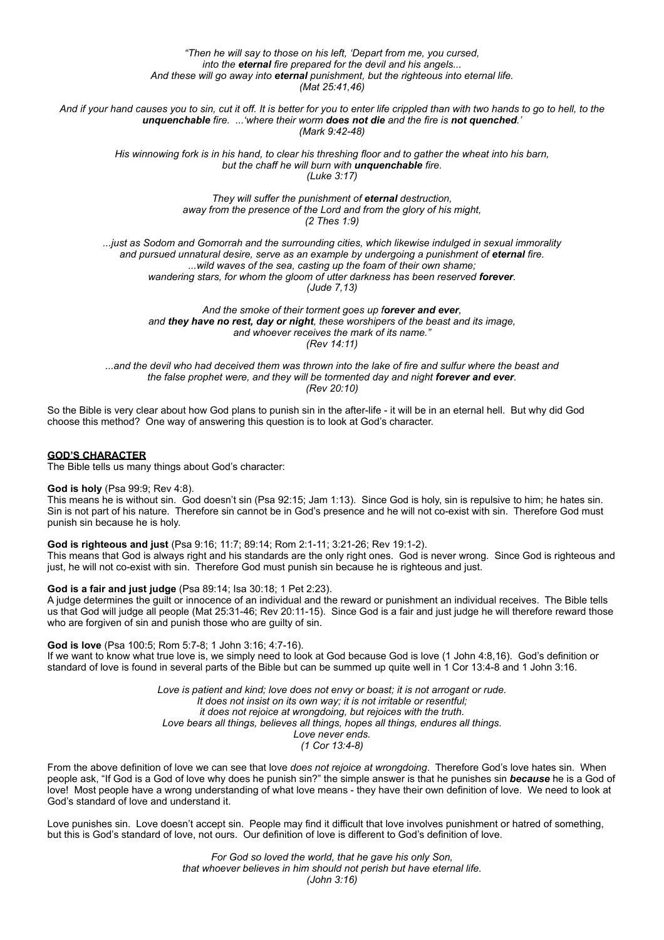*"Then he will say to those on his left, 'Depart from me, you cursed, into the eternal fire prepared for the devil and his angels... And these will go away into eternal punishment, but the righteous into eternal life. (Mat 25:41,46)*

*And if your hand causes you to sin, cut it off. It is better for you to enter life crippled than with two hands to go to hell, to the unquenchable fire. ...'where their worm does not die and the fire is not quenched.' (Mark 9:42-48)*

> *His winnowing fork is in his hand, to clear his threshing floor and to gather the wheat into his barn, but the chaff he will burn with unquenchable fire. (Luke 3:17)*

> > *They will suffer the punishment of eternal destruction, away from the presence of the Lord and from the glory of his might, (2 Thes 1:9)*

*...just as Sodom and Gomorrah and the surrounding cities, which likewise indulged in sexual immorality* and pursued unnatural desire, serve as an example by undergoing a punishment of eternal fire. *...wild waves of the sea, casting up the foam of their own shame;* wandering stars, for whom the gloom of utter darkness has been reserved **forever**. *(Jude 7,13)*

> *And the smoke of their torment goes up forever and ever, and they have no rest, day or night, these worshipers of the beast and its image, and whoever receives the mark of its name." (Rev 14:11)*

*...and the devil who had deceived them was thrown into the lake of fire and sulfur where the beast and the false prophet were, and they will be tormented day and night forever and ever. (Rev 20:10)*

So the Bible is very clear about how God plans to punish sin in the after-life - it will be in an eternal hell. But why did God choose this method? One way of answering this question is to look at God's character.

#### **GOD'S CHARACTER**

The Bible tells us many things about God's character:

#### **God is holy** (Psa 99:9; Rev 4:8).

This means he is without sin. God doesn't sin (Psa 92:15; Jam 1:13). Since God is holy, sin is repulsive to him; he hates sin. Sin is not part of his nature. Therefore sin cannot be in God's presence and he will not co-exist with sin. Therefore God must punish sin because he is holy.

**God is righteous and just** (Psa 9:16; 11:7; 89:14; Rom 2:1-11; 3:21-26; Rev 19:1-2).

This means that God is always right and his standards are the only right ones. God is never wrong. Since God is righteous and just, he will not co-exist with sin. Therefore God must punish sin because he is righteous and just.

#### **God is a fair and just judge** (Psa 89:14; Isa 30:18; 1 Pet 2:23).

A judge determines the guilt or innocence of an individual and the reward or punishment an individual receives. The Bible tells us that God will judge all people (Mat 25:31-46; Rev 20:11-15). Since God is a fair and just judge he will therefore reward those who are forgiven of sin and punish those who are guilty of sin.

**God is love** (Psa 100:5; Rom 5:7-8; 1 John 3:16; 4:7-16). If we want to know what true love is, we simply need to look at God because God is love (1 John 4:8,16). God's definition or standard of love is found in several parts of the Bible but can be summed up quite well in 1 Cor 13:4-8 and 1 John 3:16.

> *Love is patient and kind; love does not envy or boast; it is not arrogant or rude. It does not insist on its own way; it is not irritable or resentful; it does not rejoice at wrongdoing, but rejoices with the truth. Love bears all things, believes all things, hopes all things, endures all things. Love never ends. (1 Cor 13:4-8)*

From the above definition of love we can see that love *does not rejoice at wrongdoing*. Therefore God's love hates sin. When people ask, "If God is a God of love why does he punish sin?" the simple answer is that he punishes sin *because* he is a God of love! Most people have a wrong understanding of what love means - they have their own definition of love. We need to look at God's standard of love and understand it.

Love punishes sin. Love doesn't accept sin. People may find it difficult that love involves punishment or hatred of something, but this is God's standard of love, not ours. Our definition of love is different to God's definition of love.

> *For God so loved the world, that he gave his only Son, that whoever believes in him should not perish but have eternal life. (John 3:16)*